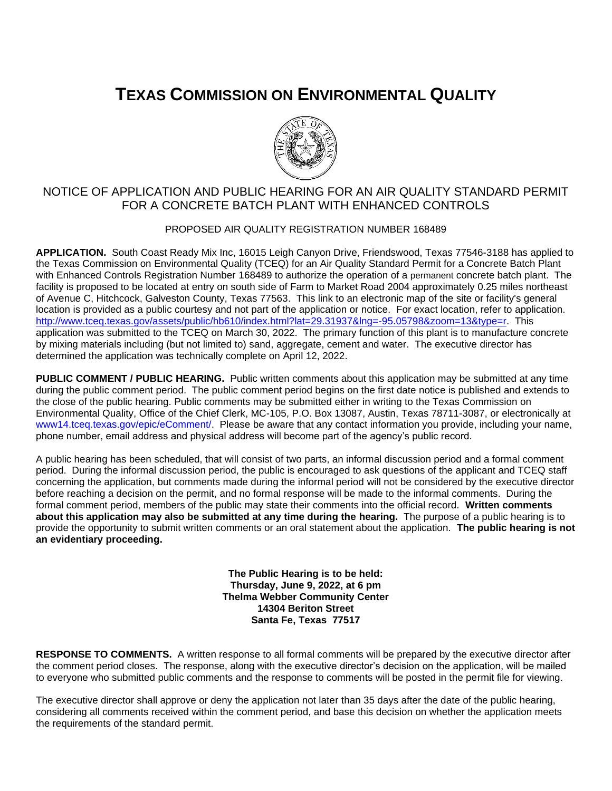## **TEXAS COMMISSION ON ENVIRONMENTAL QUALITY**



## NOTICE OF APPLICATION AND PUBLIC HEARING FOR AN AIR QUALITY STANDARD PERMIT FOR A CONCRETE BATCH PLANT WITH ENHANCED CONTROLS

## PROPOSED AIR QUALITY REGISTRATION NUMBER 168489

**APPLICATION.** South Coast Ready Mix Inc, 16015 Leigh Canyon Drive, Friendswood, Texas 77546-3188 has applied to the Texas Commission on Environmental Quality (TCEQ) for an Air Quality Standard Permit for a Concrete Batch Plant with Enhanced Controls Registration Number 168489 to authorize the operation of a permanent concrete batch plant. The facility is proposed to be located at entry on south side of Farm to Market Road 2004 approximately 0.25 miles northeast of Avenue C, Hitchcock, Galveston County, Texas 77563. This link to an electronic map of the site or facility's general location is provided as a public courtesy and not part of the application or notice. For exact location, refer to application. [http://www.tceq.texas.gov/assets/public/hb610/index.html?lat=29.31937&lng=-95.05798&zoom=13&type=r.](http://www.tceq.texas.gov/assets/public/hb610/index.html?lat=29.31937&lng=-95.05798&zoom=13&type=r) This application was submitted to the TCEQ on March 30, 2022. The primary function of this plant is to manufacture concrete by mixing materials including (but not limited to) sand, aggregate, cement and water. The executive director has determined the application was technically complete on April 12, 2022.

**PUBLIC COMMENT / PUBLIC HEARING.** Public written comments about this application may be submitted at any time during the public comment period. The public comment period begins on the first date notice is published and extends to the close of the public hearing. Public comments may be submitted either in writing to the Texas Commission on Environmental Quality, Office of the Chief Clerk, MC-105, P.O. Box 13087, Austin, Texas 78711-3087, or electronically at [www14.tceq.texas.gov/epic/eComment/.](https://www14.tceq.texas.gov/epic/eComment/) Please be aware that any contact information you provide, including your name, phone number, email address and physical address will become part of the agency's public record.

A public hearing has been scheduled, that will consist of two parts, an informal discussion period and a formal comment period. During the informal discussion period, the public is encouraged to ask questions of the applicant and TCEQ staff concerning the application, but comments made during the informal period will not be considered by the executive director before reaching a decision on the permit, and no formal response will be made to the informal comments. During the formal comment period, members of the public may state their comments into the official record. **Written comments about this application may also be submitted at any time during the hearing.** The purpose of a public hearing is to provide the opportunity to submit written comments or an oral statement about the application. **The public hearing is not an evidentiary proceeding.**

> **The Public Hearing is to be held: Thursday, June 9, 2022, at 6 pm Thelma Webber Community Center 14304 Beriton Street Santa Fe, Texas 77517**

**RESPONSE TO COMMENTS.** A written response to all formal comments will be prepared by the executive director after the comment period closes. The response, along with the executive director's decision on the application, will be mailed to everyone who submitted public comments and the response to comments will be posted in the permit file for viewing.

The executive director shall approve or deny the application not later than 35 days after the date of the public hearing, considering all comments received within the comment period, and base this decision on whether the application meets the requirements of the standard permit.